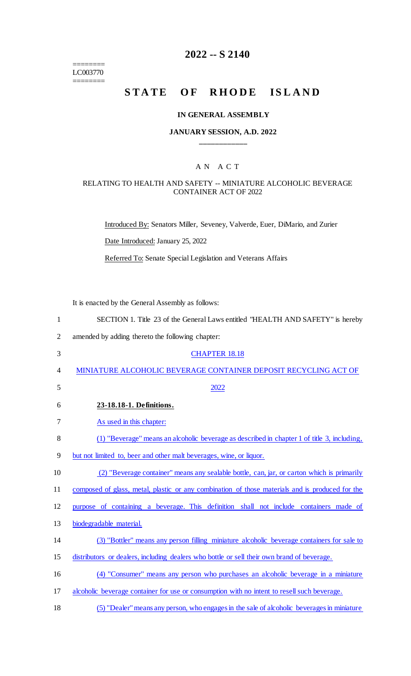======== LC003770 ========

# **2022 -- S 2140**

# STATE OF RHODE ISLAND

#### **IN GENERAL ASSEMBLY**

#### **JANUARY SESSION, A.D. 2022 \_\_\_\_\_\_\_\_\_\_\_\_**

# A N A C T

#### RELATING TO HEALTH AND SAFETY -- MINIATURE ALCOHOLIC BEVERAGE CONTAINER ACT OF 2022

Introduced By: Senators Miller, Seveney, Valverde, Euer, DiMario, and Zurier

Date Introduced: January 25, 2022

Referred To: Senate Special Legislation and Veterans Affairs

It is enacted by the General Assembly as follows:

| $\mathbf{1}$   | SECTION 1. Title 23 of the General Laws entitled "HEALTH AND SAFETY" is hereby                  |
|----------------|-------------------------------------------------------------------------------------------------|
| $\overline{2}$ | amended by adding thereto the following chapter:                                                |
| 3              | <b>CHAPTER 18.18</b>                                                                            |
| 4              | MINIATURE ALCOHOLIC BEVERAGE CONTAINER DEPOSIT RECYCLING ACT OF                                 |
| 5              | 2022                                                                                            |
| 6              | 23-18.18-1. Definitions.                                                                        |
| 7              | As used in this chapter:                                                                        |
| 8              | (1) "Beverage" means an alcoholic beverage as described in chapter 1 of title 3, including,     |
| 9              | but not limited to, beer and other malt beverages, wine, or liquor.                             |
| 10             | (2) "Beverage container" means any sealable bottle, can, jar, or carton which is primarily      |
| 11             | composed of glass, metal, plastic or any combination of those materials and is produced for the |
| 12             | purpose of containing a beverage. This definition shall not include containers made of          |
| 13             | biodegradable material.                                                                         |
| 14             | (3) "Bottler" means any person filling miniature alcoholic beverage containers for sale to      |
| 15             | distributors or dealers, including dealers who bottle or sell their own brand of beverage.      |
| 16             | (4) "Consumer" means any person who purchases an alcoholic beverage in a miniature              |
| 17             | alcoholic beverage container for use or consumption with no intent to resell such beverage.     |
| 18             | (5) "Dealer" means any person, who engages in the sale of alcoholic beverages in miniature      |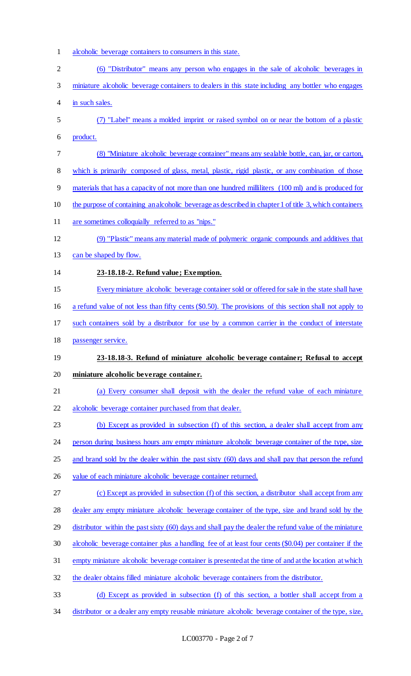- 1 alcoholic beverage containers to consumers in this state.
- (6) ''Distributor'' means any person who engages in the sale of alcoholic beverages in miniature alcoholic beverage containers to dealers in this state including any bottler who engages in such sales. (7) ''Label'' means a molded imprint or raised symbol on or near the bottom of a plastic product. (8) "Miniature alcoholic beverage container" means any sealable bottle, can, jar, or carton, 8 which is primarily composed of glass, metal, plastic, rigid plastic, or any combination of those materials that has a capacity of not more than one hundred milliliters (100 ml) and is produced for 10 the purpose of containing an alcoholic beverage as described in chapter 1 of title 3, which containers are sometimes colloquially referred to as "nips." (9) ''Plastic'' means any material made of polymeric organic compounds and additives that 13 can be shaped by flow. **23-18.18-2. Refund value; Exemption.**  Every miniature alcoholic beverage container sold or offered for sale in the state shall have a refund value of not less than fifty cents (\$0.50). The provisions of this section shall not apply to such containers sold by a distributor for use by a common carrier in the conduct of interstate passenger service. **23-18.18-3. Refund of miniature alcoholic beverage container; Refusal to accept miniature alcoholic beverage container.**  (a) Every consumer shall deposit with the dealer the refund value of each miniature alcoholic beverage container purchased from that dealer. (b) Except as provided in subsection (f) of this section, a dealer shall accept from any 24 person during business hours any empty miniature alcoholic beverage container of the type, size and brand sold by the dealer within the past sixty (60) days and shall pay that person the refund 26 value of each miniature alcoholic beverage container returned. (c) Except as provided in subsection (f) of this section, a distributor shall accept from any dealer any empty miniature alcoholic beverage container of the type, size and brand sold by the distributor within the past sixty (60) days and shall pay the dealer the refund value of the miniature alcoholic beverage container plus a handling fee of at least four cents (\$0.04) per container if the empty miniature alcoholic beverage container is presented at the time of and at the location at which the dealer obtains filled miniature alcoholic beverage containers from the distributor. (d) Except as provided in subsection (f) of this section, a bottler shall accept from a
- distributor or a dealer any empty reusable miniature alcoholic beverage container of the type, size,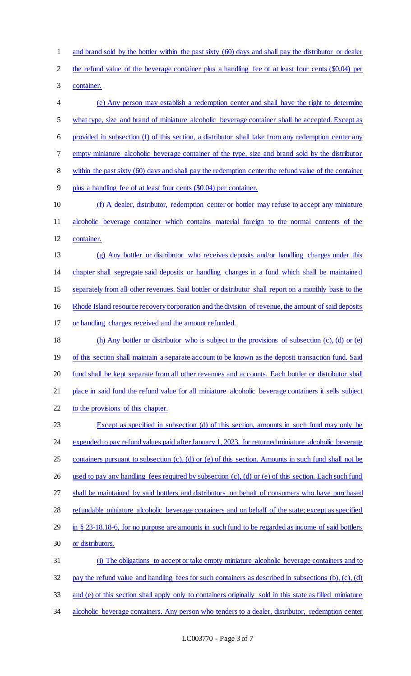1 and brand sold by the bottler within the past sixty (60) days and shall pay the distributor or dealer

2 the refund value of the beverage container plus a handling fee of at least four cents (\$0.04) per

container.

 (e) Any person may establish a redemption center and shall have the right to determine what type, size and brand of miniature alcoholic beverage container shall be accepted. Except as provided in subsection (f) of this section, a distributor shall take from any redemption center any empty miniature alcoholic beverage container of the type, size and brand sold by the distributor within the past sixty (60) days and shall pay the redemption center the refund value of the container plus a handling fee of at least four cents (\$0.04) per container. (f) A dealer, distributor, redemption center or bottler may refuse to accept any miniature alcoholic beverage container which contains material foreign to the normal contents of the container. (g) Any bottler or distributor who receives deposits and/or handling charges under this chapter shall segregate said deposits or handling charges in a fund which shall be maintained separately from all other revenues. Said bottler or distributor shall report on a monthly basis to the Rhode Island resource recovery corporation and the division of revenue, the amount of said deposits or handling charges received and the amount refunded. (h) Any bottler or distributor who is subject to the provisions of subsection (c), (d) or (e) 19 of this section shall maintain a separate account to be known as the deposit transaction fund. Said fund shall be kept separate from all other revenues and accounts. Each bottler or distributor shall

21 place in said fund the refund value for all miniature alcoholic beverage containers it sells subject

22 to the provisions of this chapter.

 Except as specified in subsection (d) of this section, amounts in such fund may only be 24 expended to pay refund values paid after January 1, 2023, for returned miniature alcoholic beverage containers pursuant to subsection (c), (d) or (e) of this section. Amounts in such fund shall not be used to pay any handling fees required by subsection (c), (d) or (e) of this section. Each such fund shall be maintained by said bottlers and distributors on behalf of consumers who have purchased 28 refundable miniature alcoholic beverage containers and on behalf of the state; except as specified in § 23-18.18-6, for no purpose are amounts in such fund to be regarded as income of said bottlers or distributors.

 (i) The obligations to accept or take empty miniature alcoholic beverage containers and to pay the refund value and handling fees for such containers as described in subsections (b), (c), (d) and (e) of this section shall apply only to containers originally sold in this state as filled miniature 34 alcoholic beverage containers. Any person who tenders to a dealer, distributor, redemption center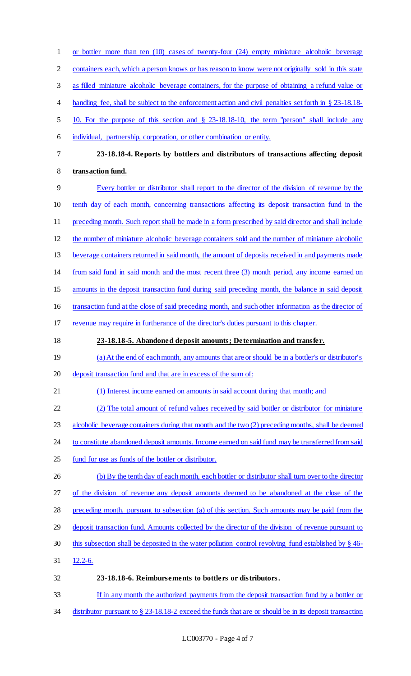| $\mathbf{1}$   | or bottler more than ten $(10)$ cases of twenty-four $(24)$ empty miniature alcoholic beverage           |
|----------------|----------------------------------------------------------------------------------------------------------|
| $\overline{c}$ | containers each, which a person knows or has reason to know were not originally sold in this state       |
| 3              | as filled miniature alcoholic beverage containers, for the purpose of obtaining a refund value or        |
| 4              | handling fee, shall be subject to the enforcement action and civil penalties set forth in § 23-18.18-    |
| 5              | 10. For the purpose of this section and § 23-18.18-10, the term "person" shall include any               |
| 6              | individual, partnership, corporation, or other combination or entity.                                    |
| 7              | 23-18.18-4. Reports by bottlers and distributors of transactions affecting deposit                       |
| 8              | transaction fund.                                                                                        |
| 9              | Every bottler or distributor shall report to the director of the division of revenue by the              |
| 10             | tenth day of each month, concerning transactions affecting its deposit transaction fund in the           |
| 11             | preceding month. Such report shall be made in a form prescribed by said director and shall include       |
| 12             | the number of miniature alcoholic beverage containers sold and the number of miniature alcoholic         |
| 13             | beverage containers returned in said month, the amount of deposits received in and payments made         |
| 14             | from said fund in said month and the most recent three (3) month period, any income earned on            |
| 15             | amounts in the deposit transaction fund during said preceding month, the balance in said deposit         |
| 16             | transaction fund at the close of said preceding month, and such other information as the director of     |
| 17             | revenue may require in furtherance of the director's duties pursuant to this chapter.                    |
| 18             | 23-18.18-5. Abandoned deposit amounts; Determination and transfer.                                       |
| 19             | (a) At the end of each month, any amounts that are or should be in a bottler's or distributor's          |
| 20             | deposit transaction fund and that are in excess of the sum of:                                           |
| 21             | (1) Interest income earned on amounts in said account during that month; and                             |
| 22             | (2) The total amount of refund values received by said bottler or distributor for miniature              |
| 23             | alcoholic beverage containers during that month and the two (2) preceding months, shall be deemed        |
| 24             | to constitute abandoned deposit amounts. Income earned on said fund may be transferred from said         |
| 25             | fund for use as funds of the bottler or distributor.                                                     |
| 26             | (b) By the tenth day of each month, each bottler or distributor shall turn over to the director          |
| 27             | of the division of revenue any deposit amounts deemed to be abandoned at the close of the                |
| 28             | preceding month, pursuant to subsection (a) of this section. Such amounts may be paid from the           |
| 29             | deposit transaction fund. Amounts collected by the director of the division of revenue pursuant to       |
| 30             | this subsection shall be deposited in the water pollution control revolving fund established by $\S$ 46- |
| 31             | $12.2 - 6.$                                                                                              |
| 32             | 23-18.18-6. Reimbursements to bottlers or distributors.                                                  |
| 33             | If in any month the authorized payments from the deposit transaction fund by a bottler or                |
|                |                                                                                                          |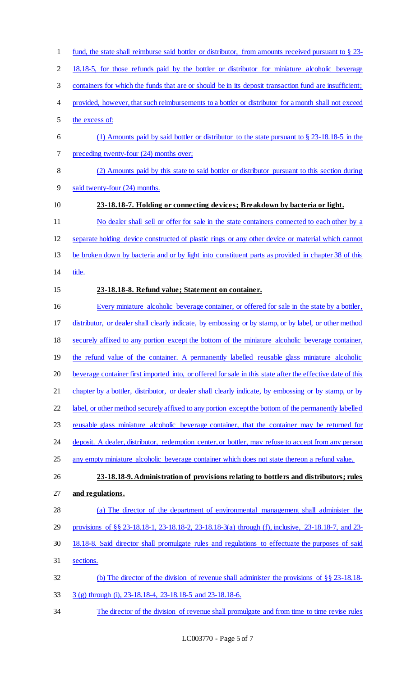18.18-5, for those refunds paid by the bottler or distributor for miniature alcoholic beverage containers for which the funds that are or should be in its deposit transaction fund are insufficient; provided, however, that such reimbursements to a bottler or distributor for a month shall not exceed the excess of: (1) Amounts paid by said bottler or distributor to the state pursuant to § 23-18.18-5 in the 7 preceding twenty-four (24) months over; (2) Amounts paid by this state to said bottler or distributor pursuant to this section during said twenty-four (24) months. **23-18.18-7. Holding or connecting devices; Breakdown by bacteria or light.**  No dealer shall sell or offer for sale in the state containers connected to each other by a separate holding device constructed of plastic rings or any other device or material which cannot be broken down by bacteria and or by light into constituent parts as provided in chapter 38 of this title. **23-18.18-8. Refund value; Statement on container.**  Every miniature alcoholic beverage container, or offered for sale in the state by a bottler, distributor, or dealer shall clearly indicate, by embossing or by stamp, or by label, or other method securely affixed to any portion except the bottom of the miniature alcoholic beverage container, 19 the refund value of the container. A permanently labelled reusable glass miniature alcoholic beverage container first imported into, or offered for sale in this state after the effective date of this 21 chapter by a bottler, distributor, or dealer shall clearly indicate, by embossing or by stamp, or by 22 label, or other method securely affixed to any portion except the bottom of the permanently labelled 23 reusable glass miniature alcoholic beverage container, that the container may be returned for 24 deposit. A dealer, distributor, redemption center, or bottler, may refuse to accept from any person any empty miniature alcoholic beverage container which does not state thereon a refund value. **23-18.18-9. Administration of provisions relating to bottlers and distributors; rules and regulations.**  (a) The director of the department of environmental management shall administer the provisions of §§ 23-18.18-1, 23-18.18-2, 23-18.18-3(a) through (f), inclusive, 23-18.18-7, and 23- 18.18-8. Said director shall promulgate rules and regulations to effectuate the purposes of said sections. (b) The director of the division of revenue shall administer the provisions of §§ 23-18.18- 3 (g) through (i), 23-18.18-4, 23-18.18-5 and 23-18.18-6. The director of the division of revenue shall promulgate and from time to time revise rules

fund, the state shall reimburse said bottler or distributor, from amounts received pursuant to § 23-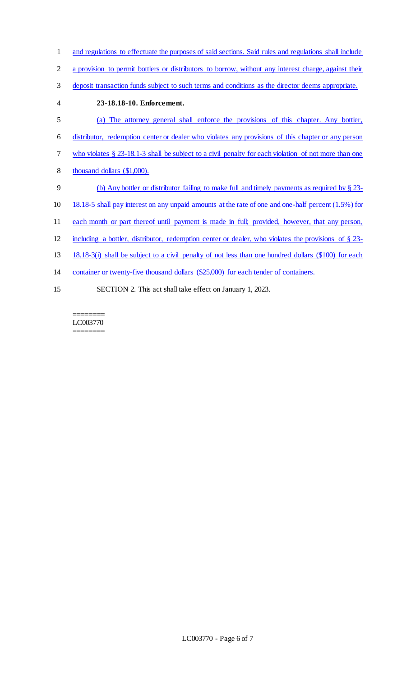- and regulations to effectuate the purposes of said sections. Said rules and regulations shall include
- a provision to permit bottlers or distributors to borrow, without any interest charge, against their
- deposit transaction funds subject to such terms and conditions as the director deems appropriate.
- **23-18.18-10. Enforcement.**  (a) The attorney general shall enforce the provisions of this chapter. Any bottler, distributor, redemption center or dealer who violates any provisions of this chapter or any person who violates § 23-18.1-3 shall be subject to a civil penalty for each violation of not more than one thousand dollars (\$1,000). (b) Any bottler or distributor failing to make full and timely payments as required by § 23- 18.18-5 shall pay interest on any unpaid amounts at the rate of one and one-half percent (1.5%) for each month or part thereof until payment is made in full; provided, however, that any person, including a bottler, distributor, redemption center or dealer, who violates the provisions of § 23- 18.18-3(i) shall be subject to a civil penalty of not less than one hundred dollars (\$100) for each container or twenty-five thousand dollars (\$25,000) for each tender of containers. SECTION 2. This act shall take effect on January 1, 2023.

======== LC003770 ========